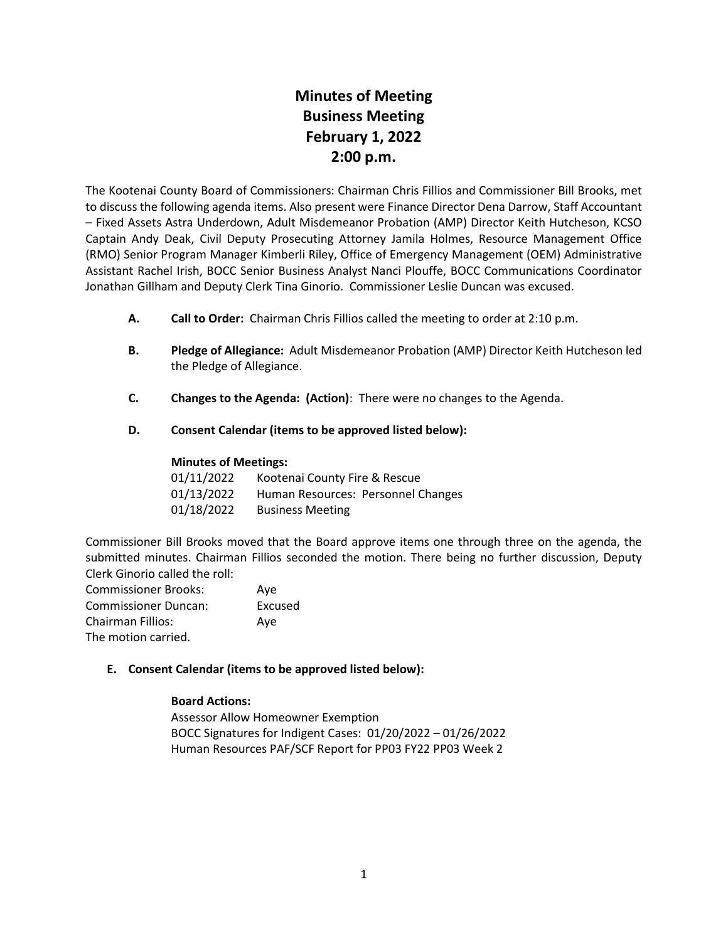# **Minutes of Meeting Business Meeting February 1, 2022 2:00 p.m.**

The Kootenai County Board of Commissioners: Chairman Chris Fillios and Commissioner Bill Brooks, met to discuss the following agenda items. Also present were Finance Director Dena Darrow, Staff Accountant – Fixed Assets Astra Underdown, Adult Misdemeanor Probation (AMP) Director Keith Hutcheson, KCSO Captain Andy Deak, Civil Deputy Prosecuting Attorney Jamila Holmes, Resource Management Office (RMO) Senior Program Manager Kimberli Riley, Office of Emergency Management (OEM) Administrative Assistant Rachel Irish, BOCC Senior Business Analyst Nanci Plouffe, BOCC Communications Coordinator Jonathan Gillham and Deputy Clerk Tina Ginorio. Commissioner Leslie Duncan was excused.

- **A. Call to Order:** Chairman Chris Fillios called the meeting to order at 2:10 p.m.
- **B. Pledge of Allegiance:** Adult Misdemeanor Probation (AMP) Director Keith Hutcheson led the Pledge of Allegiance.
- **C. Changes to the Agenda: (Action)**: There were no changes to the Agenda.
- **D. Consent Calendar (items to be approved listed below):**

### **Minutes of Meetings:**

| 01/11/2022 | Kootenai County Fire & Rescue      |
|------------|------------------------------------|
| 01/13/2022 | Human Resources: Personnel Changes |
| 01/18/2022 | <b>Business Meeting</b>            |

Commissioner Bill Brooks moved that the Board approve items one through three on the agenda, the submitted minutes. Chairman Fillios seconded the motion. There being no further discussion, Deputy Clerk Ginorio called the roll:

| <b>Commissioner Brooks:</b> | Ave     |
|-----------------------------|---------|
| <b>Commissioner Duncan:</b> | Excused |
| <b>Chairman Fillios:</b>    | Ave     |
| The motion carried.         |         |

### **E. Consent Calendar (items to be approved listed below):**

### **Board Actions:**

Assessor Allow Homeowner Exemption BOCC Signatures for Indigent Cases: 01/20/2022 – 01/26/2022 Human Resources PAF/SCF Report for PP03 FY22 PP03 Week 2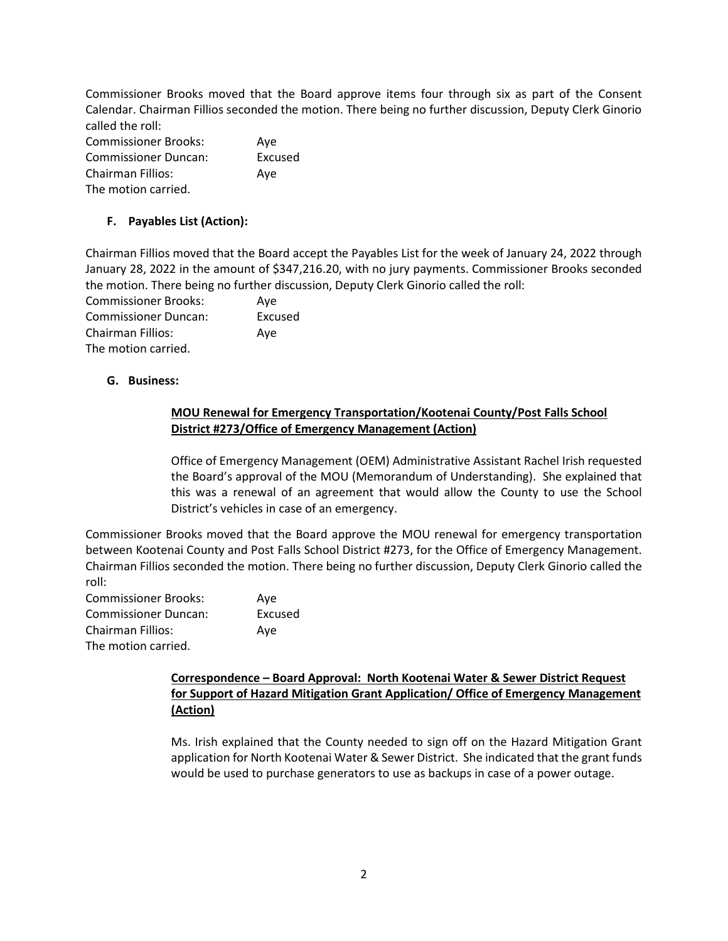Commissioner Brooks moved that the Board approve items four through six as part of the Consent Calendar. Chairman Fillios seconded the motion. There being no further discussion, Deputy Clerk Ginorio called the roll:

| <b>Commissioner Brooks:</b> | Ave     |
|-----------------------------|---------|
| <b>Commissioner Duncan:</b> | Excused |
| Chairman Fillios:           | Ave     |
| The motion carried.         |         |

# **F. Payables List (Action):**

Chairman Fillios moved that the Board accept the Payables List for the week of January 24, 2022 through January 28, 2022 in the amount of \$347,216.20, with no jury payments. Commissioner Brooks seconded the motion. There being no further discussion, Deputy Clerk Ginorio called the roll:

| <b>Commissioner Brooks:</b> | Ave     |
|-----------------------------|---------|
| <b>Commissioner Duncan:</b> | Excused |
| <b>Chairman Fillios:</b>    | Ave     |
| The motion carried.         |         |

### **G. Business:**

### **MOU Renewal for Emergency Transportation/Kootenai County/Post Falls School District #273/Office of Emergency Management (Action)**

Office of Emergency Management (OEM) Administrative Assistant Rachel Irish requested the Board's approval of the MOU (Memorandum of Understanding). She explained that this was a renewal of an agreement that would allow the County to use the School District's vehicles in case of an emergency.

Commissioner Brooks moved that the Board approve the MOU renewal for emergency transportation between Kootenai County and Post Falls School District #273, for the Office of Emergency Management. Chairman Fillios seconded the motion. There being no further discussion, Deputy Clerk Ginorio called the roll:

| <b>Commissioner Brooks:</b> | Ave     |
|-----------------------------|---------|
| <b>Commissioner Duncan:</b> | Excused |
| Chairman Fillios:           | Ave     |
| The motion carried.         |         |

# **Correspondence – Board Approval: North Kootenai Water & Sewer District Request for Support of Hazard Mitigation Grant Application/ Office of Emergency Management (Action)**

Ms. Irish explained that the County needed to sign off on the Hazard Mitigation Grant application for North Kootenai Water & Sewer District. She indicated that the grant funds would be used to purchase generators to use as backups in case of a power outage.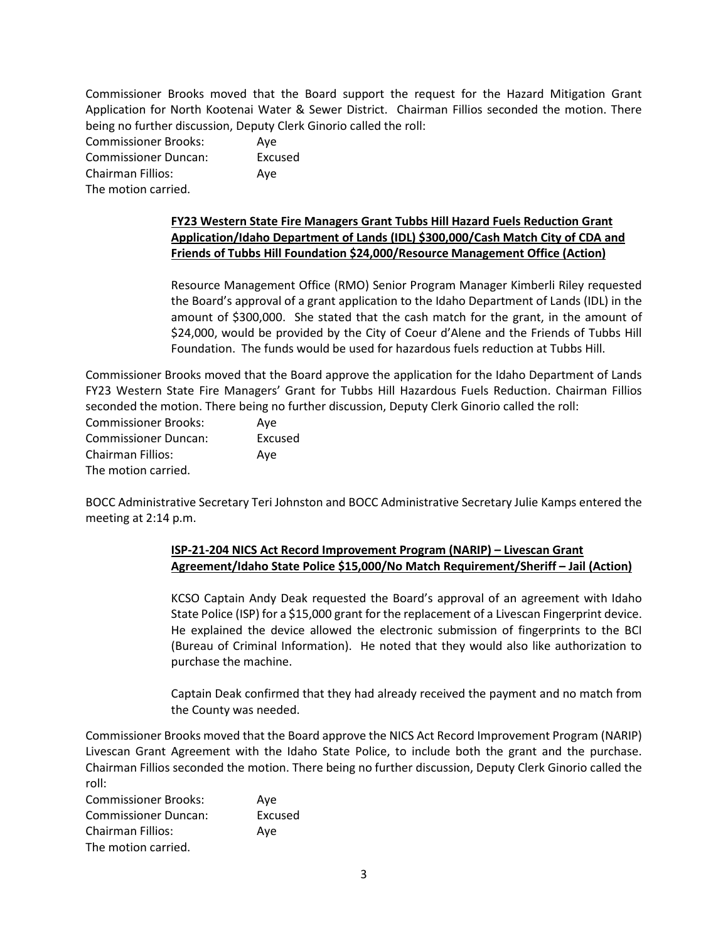Commissioner Brooks moved that the Board support the request for the Hazard Mitigation Grant Application for North Kootenai Water & Sewer District. Chairman Fillios seconded the motion. There being no further discussion, Deputy Clerk Ginorio called the roll:

| <b>Commissioner Brooks:</b> | Ave     |
|-----------------------------|---------|
| <b>Commissioner Duncan:</b> | Excused |
| <b>Chairman Fillios:</b>    | Ave     |
| The motion carried.         |         |

# **FY23 Western State Fire Managers Grant Tubbs Hill Hazard Fuels Reduction Grant Application/Idaho Department of Lands (IDL) \$300,000/Cash Match City of CDA and Friends of Tubbs Hill Foundation \$24,000/Resource Management Office (Action)**

Resource Management Office (RMO) Senior Program Manager Kimberli Riley requested the Board's approval of a grant application to the Idaho Department of Lands (IDL) in the amount of \$300,000. She stated that the cash match for the grant, in the amount of \$24,000, would be provided by the City of Coeur d'Alene and the Friends of Tubbs Hill Foundation. The funds would be used for hazardous fuels reduction at Tubbs Hill.

Commissioner Brooks moved that the Board approve the application for the Idaho Department of Lands FY23 Western State Fire Managers' Grant for Tubbs Hill Hazardous Fuels Reduction. Chairman Fillios seconded the motion. There being no further discussion, Deputy Clerk Ginorio called the roll:

| <b>Commissioner Brooks:</b> | Ave     |
|-----------------------------|---------|
| <b>Commissioner Duncan:</b> | Excused |
| Chairman Fillios:           | Ave     |
| The motion carried.         |         |

BOCC Administrative Secretary Teri Johnston and BOCC Administrative Secretary Julie Kamps entered the meeting at 2:14 p.m.

# **ISP-21-204 NICS Act Record Improvement Program (NARIP) – Livescan Grant Agreement/Idaho State Police \$15,000/No Match Requirement/Sheriff – Jail (Action)**

KCSO Captain Andy Deak requested the Board's approval of an agreement with Idaho State Police (ISP) for a \$15,000 grant for the replacement of a Livescan Fingerprint device. He explained the device allowed the electronic submission of fingerprints to the BCI (Bureau of Criminal Information). He noted that they would also like authorization to purchase the machine.

Captain Deak confirmed that they had already received the payment and no match from the County was needed.

Commissioner Brooks moved that the Board approve the NICS Act Record Improvement Program (NARIP) Livescan Grant Agreement with the Idaho State Police, to include both the grant and the purchase. Chairman Fillios seconded the motion. There being no further discussion, Deputy Clerk Ginorio called the roll:

Commissioner Brooks: Aye Commissioner Duncan: Excused Chairman Fillios: Aye The motion carried.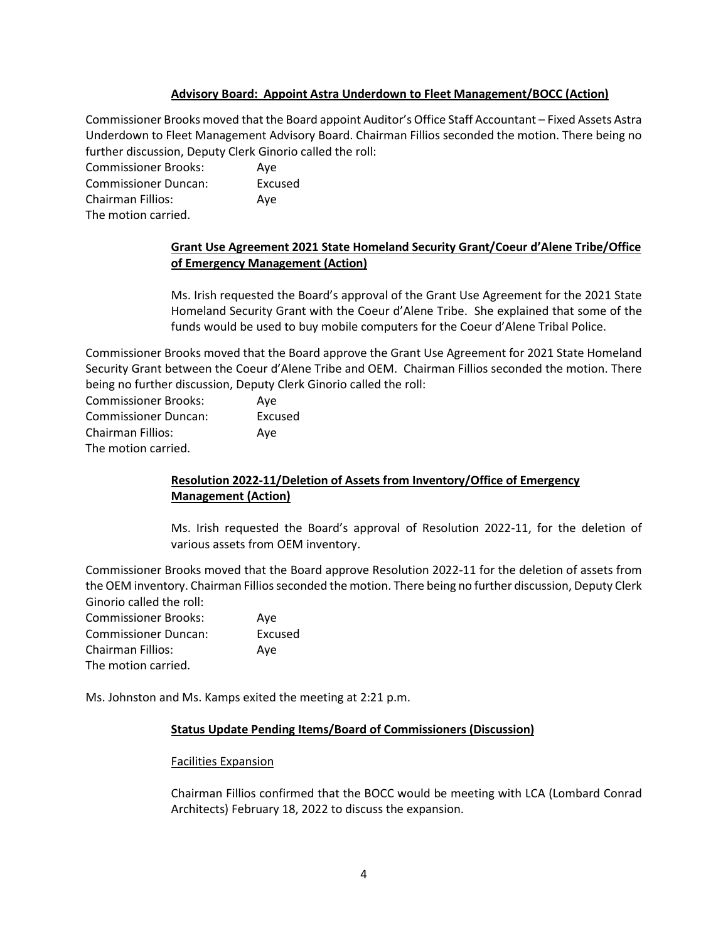### **Advisory Board: Appoint Astra Underdown to Fleet Management/BOCC (Action)**

Commissioner Brooks moved that the Board appoint Auditor's Office Staff Accountant – Fixed Assets Astra Underdown to Fleet Management Advisory Board. Chairman Fillios seconded the motion. There being no further discussion, Deputy Clerk Ginorio called the roll:

Commissioner Brooks: Aye Commissioner Duncan: Excused Chairman Fillios: Aye The motion carried.

> **Grant Use Agreement 2021 State Homeland Security Grant/Coeur d'Alene Tribe/Office of Emergency Management (Action)**

> Ms. Irish requested the Board's approval of the Grant Use Agreement for the 2021 State Homeland Security Grant with the Coeur d'Alene Tribe. She explained that some of the funds would be used to buy mobile computers for the Coeur d'Alene Tribal Police.

Commissioner Brooks moved that the Board approve the Grant Use Agreement for 2021 State Homeland Security Grant between the Coeur d'Alene Tribe and OEM. Chairman Fillios seconded the motion. There being no further discussion, Deputy Clerk Ginorio called the roll:

| <b>Commissioner Brooks:</b> | Ave     |
|-----------------------------|---------|
| <b>Commissioner Duncan:</b> | Excused |
| <b>Chairman Fillios:</b>    | Ave     |
| The motion carried.         |         |

# **Resolution 2022-11/Deletion of Assets from Inventory/Office of Emergency Management (Action)**

Ms. Irish requested the Board's approval of Resolution 2022-11, for the deletion of various assets from OEM inventory.

Commissioner Brooks moved that the Board approve Resolution 2022-11 for the deletion of assets from the OEM inventory. Chairman Fillios seconded the motion. There being no further discussion, Deputy Clerk Ginorio called the roll:

| <b>Commissioner Brooks:</b> | Ave     |
|-----------------------------|---------|
| <b>Commissioner Duncan:</b> | Excused |
| Chairman Fillios:           | Ave     |
| The motion carried.         |         |

Ms. Johnston and Ms. Kamps exited the meeting at 2:21 p.m.

### **Status Update Pending Items/Board of Commissioners (Discussion)**

### Facilities Expansion

Chairman Fillios confirmed that the BOCC would be meeting with LCA (Lombard Conrad Architects) February 18, 2022 to discuss the expansion.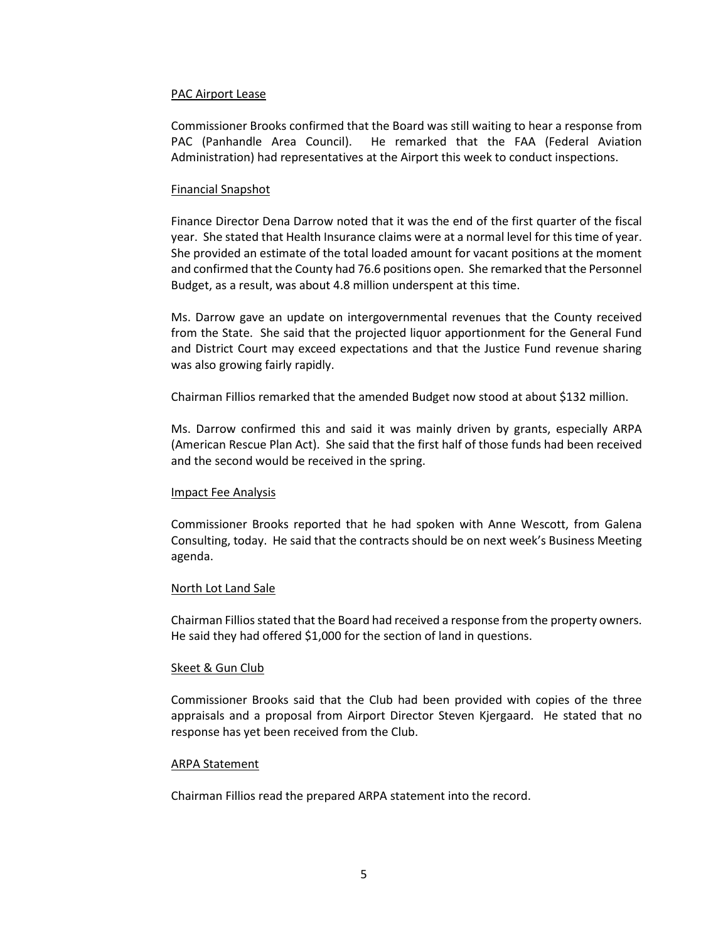#### PAC Airport Lease

Commissioner Brooks confirmed that the Board was still waiting to hear a response from PAC (Panhandle Area Council). He remarked that the FAA (Federal Aviation Administration) had representatives at the Airport this week to conduct inspections.

#### Financial Snapshot

Finance Director Dena Darrow noted that it was the end of the first quarter of the fiscal year. She stated that Health Insurance claims were at a normal level for this time of year. She provided an estimate of the total loaded amount for vacant positions at the moment and confirmed that the County had 76.6 positions open. She remarked that the Personnel Budget, as a result, was about 4.8 million underspent at this time.

Ms. Darrow gave an update on intergovernmental revenues that the County received from the State. She said that the projected liquor apportionment for the General Fund and District Court may exceed expectations and that the Justice Fund revenue sharing was also growing fairly rapidly.

Chairman Fillios remarked that the amended Budget now stood at about \$132 million.

Ms. Darrow confirmed this and said it was mainly driven by grants, especially ARPA (American Rescue Plan Act). She said that the first half of those funds had been received and the second would be received in the spring.

#### Impact Fee Analysis

Commissioner Brooks reported that he had spoken with Anne Wescott, from Galena Consulting, today. He said that the contracts should be on next week's Business Meeting agenda.

#### North Lot Land Sale

Chairman Fillios stated that the Board had received a response from the property owners. He said they had offered \$1,000 for the section of land in questions.

#### Skeet & Gun Club

Commissioner Brooks said that the Club had been provided with copies of the three appraisals and a proposal from Airport Director Steven Kjergaard. He stated that no response has yet been received from the Club.

#### ARPA Statement

Chairman Fillios read the prepared ARPA statement into the record.